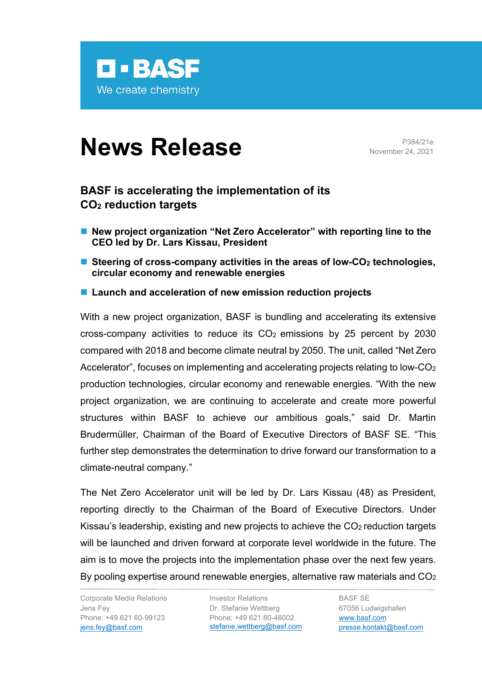

## **News Release** P384/21e

November 24, 2021

## **BASF is accelerating the implementation of its CO2 reduction targets**

- New project organization "Net Zero Accelerator" with reporting line to the **CEO led by Dr. Lars Kissau, President**
- Steering of cross-company activities in the areas of low-CO<sub>2</sub> technologies, **circular economy and renewable energies**
- Launch and acceleration of new emission reduction projects

With a new project organization, BASF is bundling and accelerating its extensive cross-company activities to reduce its  $CO<sub>2</sub>$  emissions by 25 percent by 2030 compared with 2018 and become climate neutral by 2050. The unit, called "Net Zero Accelerator", focuses on implementing and accelerating projects relating to low-CO<sub>2</sub> production technologies, circular economy and renewable energies. "With the new project organization, we are continuing to accelerate and create more powerful structures within BASF to achieve our ambitious goals," said Dr. Martin Brudermüller, Chairman of the Board of Executive Directors of BASF SE. "This further step demonstrates the determination to drive forward our transformation to a climate-neutral company."

The Net Zero Accelerator unit will be led by Dr. Lars Kissau (48) as President, reporting directly to the Chairman of the Board of Executive Directors. Under Kissau's leadership, existing and new projects to achieve the  $CO<sub>2</sub>$  reduction targets will be launched and driven forward at corporate level worldwide in the future. The aim is to move the projects into the implementation phase over the next few years. By pooling expertise around renewable energies, alternative raw materials and CO<sub>2</sub>

Corporate Media Relations Jens Fey Phone: +49 621 60-99123 [jens.fey@basf.com](mailto:jens.fey@basf.com)

Investor Relations Dr. Stefanie Wettberg Phone: +49 621 60-48002 [stefanie.wettberg@basf.com](mailto:stefanie.wettberg@basf.com)

BASF SE 67056 Ludwigshafen [www.basf.com](https://www.basf.com/global/en.html) [presse.kontakt@basf.com](mailto:presse.kontakt@basf.com)